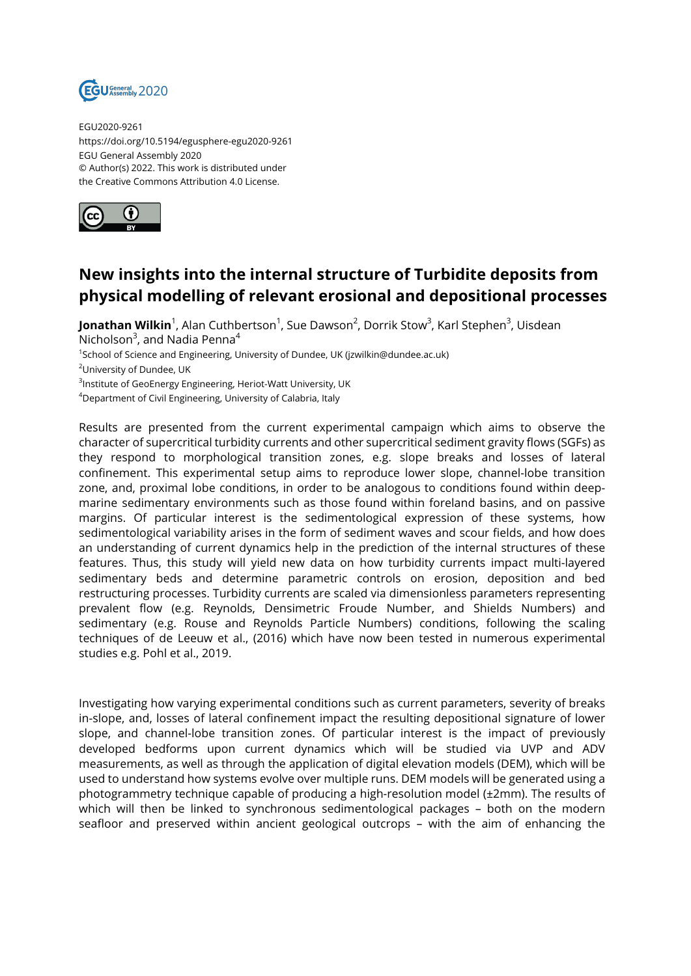

EGU2020-9261 https://doi.org/10.5194/egusphere-egu2020-9261 EGU General Assembly 2020 © Author(s) 2022. This work is distributed under the Creative Commons Attribution 4.0 License.



## **New insights into the internal structure of Turbidite deposits from physical modelling of relevant erosional and depositional processes**

**Jonathan Wilkin**<sup>1</sup>, Alan Cuthbertson<sup>1</sup>, Sue Dawson<sup>2</sup>, Dorrik Stow<sup>3</sup>, Karl Stephen<sup>3</sup>, Uisdean Nicholson<sup>3</sup>, and Nadia Penna<sup>4</sup>

<sup>1</sup>School of Science and Engineering, University of Dundee, UK (jzwilkin@dundee.ac.uk)

<sup>2</sup>University of Dundee, UK

 $^3$ Institute of GeoEnergy Engineering, Heriot-Watt University, UK

<sup>4</sup>Department of Civil Engineering, University of Calabria, Italy

Results are presented from the current experimental campaign which aims to observe the character of supercritical turbidity currents and other supercritical sediment gravity flows (SGFs) as they respond to morphological transition zones, e.g. slope breaks and losses of lateral confinement. This experimental setup aims to reproduce lower slope, channel-lobe transition zone, and, proximal lobe conditions, in order to be analogous to conditions found within deepmarine sedimentary environments such as those found within foreland basins, and on passive margins. Of particular interest is the sedimentological expression of these systems, how sedimentological variability arises in the form of sediment waves and scour fields, and how does an understanding of current dynamics help in the prediction of the internal structures of these features. Thus, this study will yield new data on how turbidity currents impact multi-layered sedimentary beds and determine parametric controls on erosion, deposition and bed restructuring processes. Turbidity currents are scaled via dimensionless parameters representing prevalent flow (e.g. Reynolds, Densimetric Froude Number, and Shields Numbers) and sedimentary (e.g. Rouse and Reynolds Particle Numbers) conditions, following the scaling techniques of de Leeuw et al., (2016) which have now been tested in numerous experimental studies e.g. Pohl et al., 2019.

Investigating how varying experimental conditions such as current parameters, severity of breaks in-slope, and, losses of lateral confinement impact the resulting depositional signature of lower slope, and channel-lobe transition zones. Of particular interest is the impact of previously developed bedforms upon current dynamics which will be studied via UVP and ADV measurements, as well as through the application of digital elevation models (DEM), which will be used to understand how systems evolve over multiple runs. DEM models will be generated using a photogrammetry technique capable of producing a high-resolution model (±2mm). The results of which will then be linked to synchronous sedimentological packages – both on the modern seafloor and preserved within ancient geological outcrops – with the aim of enhancing the